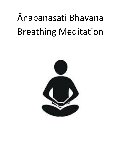## Ᾱnāpānasati Bhāvanā Breathing Meditation

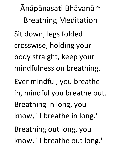Anāpānasati Bhāvanā ~ Breathing Meditation Sit down; legs folded crosswise, holding your body straight, keep your mindfulness on breathing. Ever mindful, you breathe in, mindful you breathe out. Breathing in long, you know, ' I breathe in long.' Breathing out long, you know, ' I breathe out long.'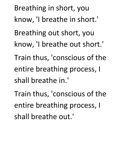Breathing in short, you know, 'I breathe in short.' Breathing out short, you know, 'I breathe out short.' Train thus, 'conscious of the entire breathing process, I shall breathe in.'

Train thus, 'conscious of the entire breathing process, I shall breathe out.'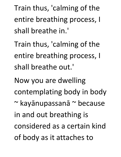Train thus, 'calming of the entire breathing process, I shall breathe in.'

Train thus, 'calming of the entire breathing process, I shall breathe out.'

Now you are dwelling contemplating body in body ~ kayānupassanā ~ because in and out breathing is considered as a certain kind of body as it attaches to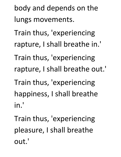body and depends on the lungs movements.

Train thus, 'experiencing rapture, I shall breathe in.'

Train thus, 'experiencing rapture, I shall breathe out.'

Train thus, 'experiencing happiness, I shall breathe in.'

Train thus, 'experiencing pleasure, I shall breathe out.'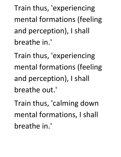Train thus, 'experiencing mental formations (feeling and perception), I shall breathe in.'

Train thus, 'experiencing mental formations (feeling and perception), I shall breathe out.'

Train thus, 'calming down mental formations, I shall breathe in.'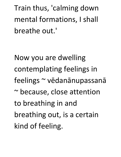Train thus, 'calming down mental formations, I shall breathe out.'

Now you are dwelling contemplating feelings in feelings ~ vēdanānupassanā ~ because, close attention to breathing in and breathing out, is a certain kind of feeling.